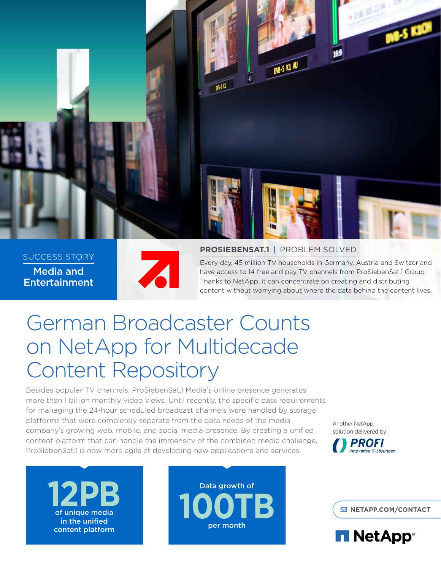

SUCCESS STORY Media and Entertainment



#### **PROSIEBENSAT.1** | PROBLEM SOLVED

Every day, 45 million TV households in Germany, Austria and Switzerland have access to 14 free and pay TV channels from ProSiebenSat.1 Group. Thanks to NetApp, it can concentrate on creating and distributing content without worrying about where the data behind the content lives.

# German Broadcaster Counts on NetApp for Multidecade Content Repository

Besides popular TV channels, ProSiebenSat.1 Media's online presence generates more than 1 billion monthly video views. Until recently, the specific data requirements for managing the 24-hour scheduled broadcast channels were handled by storage platforms that were completely separate from the data needs of the media company's growing web, mobile, and social media presence. By creating a unified content platform that can handle the immensity of the combined media challenge, ProSiebenSat.1 is now more agile at developing new applications and services.

Another NetApp solution delivered by: PROFI

Innovative IT-Lösungen



Data growth of **100TB** per month

**[NETAPP.COM/CONTACT](http://www.netapp.com/us/contact-us/index.aspx)**

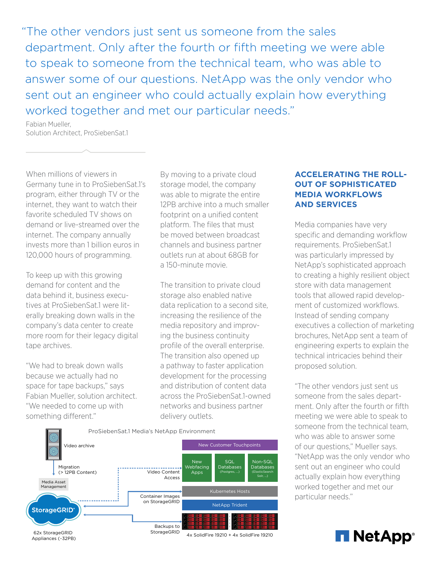"The other vendors just sent us someone from the sales department. Only after the fourth or fifth meeting we were able to speak to someone from the technical team, who was able to answer some of our questions. NetApp was the only vendor who sent out an engineer who could actually explain how everything worked together and met our particular needs."

Fabian Mueller, Solution Architect, ProSiebenSat.1

When millions of viewers in Germany tune in to ProSiebenSat.1's program, either through TV or the internet, they want to watch their favorite scheduled TV shows on demand or live-streamed over the internet. The company annually invests more than 1 billion euros in 120,000 hours of programming.

To keep up with this growing demand for content and the data behind it, business executives at ProSiebenSat.1 were literally breaking down walls in the company's data center to create more room for their legacy digital tape archives.

"We had to break down walls because we actually had no space for tape backups," says Fabian Mueller, solution architect. "We needed to come up with something different."

By moving to a private cloud storage model, the company was able to migrate the entire 12PB archive into a much smaller footprint on a unified content platform. The files that must be moved between broadcast channels and business partner outlets run at about 68GB for a 150-minute movie.

The transition to private cloud storage also enabled native data replication to a second site, increasing the resilience of the media repository and improving the business continuity profile of the overall enterprise. The transition also opened up a pathway to faster application development for the processing and distribution of content data across the ProSiebenSat.1-owned networks and business partner delivery outlets.



## **ACCELERATING THE ROLL-OUT OF SOPHISTICATED MEDIA WORKFLOWS AND SERVICES**

Media companies have very specific and demanding workflow requirements. ProSiebenSat.1 was particularly impressed by NetApp's sophisticated approach to creating a highly resilient object store with data management tools that allowed rapid development of customized workflows. Instead of sending company executives a collection of marketing brochures, NetApp sent a team of engineering experts to explain the technical intricacies behind their proposed solution.

"The other vendors just sent us someone from the sales department. Only after the fourth or fifth meeting we were able to speak to someone from the technical team, who was able to answer some of our questions," Mueller says. "NetApp was the only vendor who sent out an engineer who could actually explain how everything worked together and met our particular needs."

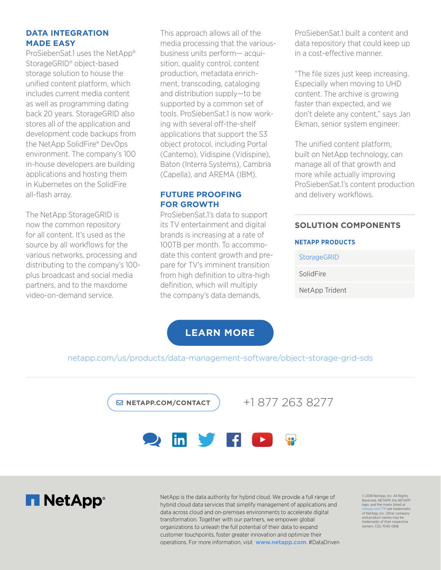## **DATA INTEGRATION MADE EASY**

ProSiebenSat.1 uses the NetApp® StorageGRID® object-based storage solution to house the unified content platform, which includes current media content as well as programming dating back 20 years. StorageGRID also stores all of the application and development code backups from the NetApp SolidFire® DevOps environment. The company's 100 in-house developers are building applications and hosting them in Kubernetes on the SolidFire all-flash array.

The NetApp StorageGRID is now the common repository for all content. It's used as the source by all workflows for the various networks, processing and distributing to the company's 100 plus broadcast and social media partners, and to the maxdome video-on-demand service.

This approach allows all of the media processing that the variousbusiness units perform— acquisition, quality control, content production, metadata enrichment, transcoding, cataloging and distribution supply—to be supported by a common set of tools. ProSiebenSat.1 is now working with several off-the-shelf applications that support the S3 object protocol, including Portal (Cantemo), Vidispine (Vidispine), Baton (lnterra Systems), Cambria (Capella), and AREMA (IBM).

# **FUTURE PROOFING FOR GROWTH**

ProSiebenSat.1's data to support its TV entertainment and digital brands is increasing at a rate of 100TB per month. To accommodate this content growth and prepare for TV's imminent transition from high definition to ultra-high definition, which will multiply the company's data demands,

ProSiebenSat.1 built a content and data repository that could keep up in a cost-effective manner.

"The file sizes just keep increasing. Especially when moving to UHD content. The archive is growing faster than expected, and we don't delete any content," says Jan Ekman, senior system engineer.

The unified content platform, built on NetApp technology, can manage all of that growth and more while actually improving ProSiebenSat.1's content production and delivery workflows.

#### **SOLUTION COMPONENTS**

#### **NETAPP PRODUCTS**

**[StorageGRID](https://www.netapp.com/us/products/data-management-software/object-storage-grid-sds.aspx)** 

[SolidFire](https://www.netapp.com/us/products/storage-systems/all-flash-array/solidfire-scale-out.aspx)

NetApp Trident

**[LEARN MORE](https://www.netapp.com/us/products/data-management-software/object-storage-grid-sds.aspx)**

[netapp.com/us/products/data-management-software/object-storage-grid-sds](https://www.netapp.com/us/products/data-management-software/object-storage-grid-sds.aspx)

 **NETAPP.COM/CONTACT** +1 877 263 8277  $\sum$  in  $\sum$  f  $\sum$ 



NetApp is the data authority for hybrid cloud. We provide a full range of hybrid cloud data services that simplify management of applications and data across cloud and on-premises environments to accelerate digital transformation. Together with our partners, we empower global organizations to unleash the full potential of their data to expand customer touchpoints, foster greater innovation and optimize their operations. For more information, visit **[www.netapp.com](http://www.netapp.com)**. #DataDriv[en](http://www.netapp.com/)

© 2018 NetApp, Inc. All Rights Reserved. NETAPP, the NETAPP logo, and the marks listed at netapp.com/TM are trademarks of NetApp, Inc. Other company and product names may be trademarks of their respective owners. CSS-7045-0818